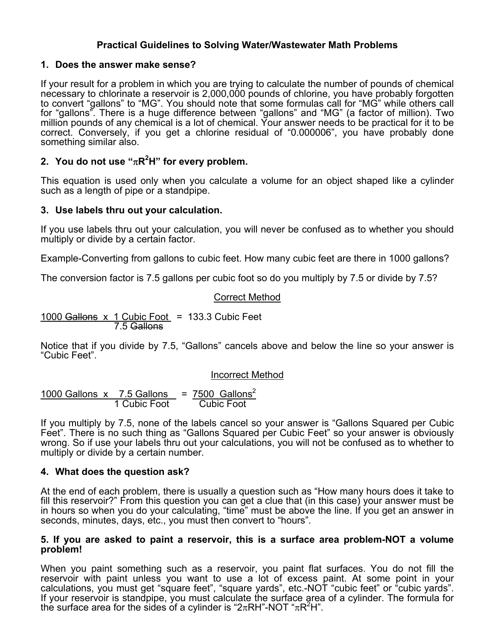# **Practical Guidelines to Solving Water/Wastewater Math Problems**

### **1. Does the answer make sense?**

If your result for a problem in which you are trying to calculate the number of pounds of chemical necessary to chlorinate a reservoir is 2,000,000 pounds of chlorine, you have probably forgotten to convert "gallons" to "MG". You should note that some formulas call for "MG" while others call for "gallons". There is a huge difference between "gallons" and "MG" (a factor of million). Two million pounds of any chemical is a lot of chemical. Your answer needs to be practical for it to be correct. Conversely, if you get a chlorine residual of "0.000006", you have probably done something similar also.

# **2. You do not use "**π**R2 H" for every problem.**

This equation is used only when you calculate a volume for an object shaped like a cylinder such as a length of pipe or a standpipe.

### **3. Use labels thru out your calculation.**

If you use labels thru out your calculation, you will never be confused as to whether you should multiply or divide by a certain factor.

Example-Converting from gallons to cubic feet. How many cubic feet are there in 1000 gallons?

The conversion factor is 7.5 gallons per cubic foot so do you multiply by 7.5 or divide by 7.5?

## Correct Method

1000 Gallons  $x$  1 Cubic Foot = 133.3 Cubic Feet 7.5 Gallons

Notice that if you divide by 7.5, "Gallons" cancels above and below the line so your answer is "Cubic Feet".

#### Incorrect Method

1000 Gallons x 7.5 Gallons = 7500 Gallons2 1 Cubic Foot

If you multiply by 7.5, none of the labels cancel so your answer is "Gallons Squared per Cubic Feet". There is no such thing as "Gallons Squared per Cubic Feet" so your answer is obviously wrong. So if use your labels thru out your calculations, you will not be confused as to whether to multiply or divide by a certain number.

#### **4. What does the question ask?**

At the end of each problem, there is usually a question such as "How many hours does it take to fill this reservoir?" From this question you can get a clue that (in this case) your answer must be in hours so when you do your calculating, "time" must be above the line. If you get an answer in seconds, minutes, days, etc., you must then convert to "hours".

#### **5. If you are asked to paint a reservoir, this is a surface area problem-NOT a volume problem!**

When you paint something such as a reservoir, you paint flat surfaces. You do not fill the reservoir with paint unless you want to use a lot of excess paint. At some point in your calculations, you must get "square feet", "square yards", etc.-NOT "cubic feet" or "cubic yards". If your reservoir is standpipe, you must calculate the surface area of a cylinder. The formula for the surface area for the sides of a cylinder is " $2\pi$ RH"-NOT " $\pi$ R<sup>2</sup>H".